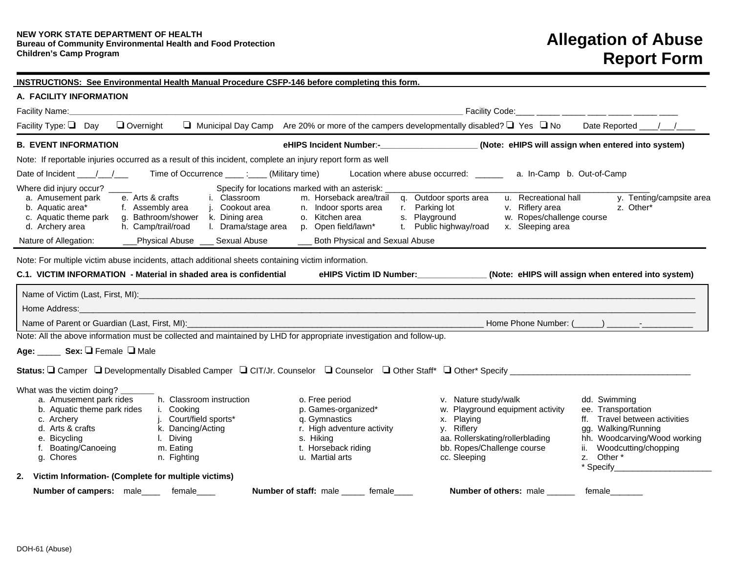| A. FACILITY INFORMATION                                                                                                                                                               |                                                                                                                  |                                                                                                                                                                                                                                                     |                                                                                                                                                                       |                                                                                                                                                                                                       |  |  |
|---------------------------------------------------------------------------------------------------------------------------------------------------------------------------------------|------------------------------------------------------------------------------------------------------------------|-----------------------------------------------------------------------------------------------------------------------------------------------------------------------------------------------------------------------------------------------------|-----------------------------------------------------------------------------------------------------------------------------------------------------------------------|-------------------------------------------------------------------------------------------------------------------------------------------------------------------------------------------------------|--|--|
|                                                                                                                                                                                       |                                                                                                                  |                                                                                                                                                                                                                                                     |                                                                                                                                                                       |                                                                                                                                                                                                       |  |  |
| Facility Type: $\Box$ Day $\Box$ Overnight                                                                                                                                            |                                                                                                                  |                                                                                                                                                                                                                                                     | $\Box$ Municipal Day Camp Are 20% or more of the campers developmentally disabled? $\Box$ Yes $\Box$ No                                                               |                                                                                                                                                                                                       |  |  |
| eHIPS Incident Number:-__________________(Note: eHIPS will assign when entered into system)<br><b>B. EVENT INFORMATION</b>                                                            |                                                                                                                  |                                                                                                                                                                                                                                                     |                                                                                                                                                                       |                                                                                                                                                                                                       |  |  |
| Note: If reportable injuries occurred as a result of this incident, complete an injury report form as well                                                                            |                                                                                                                  |                                                                                                                                                                                                                                                     |                                                                                                                                                                       |                                                                                                                                                                                                       |  |  |
|                                                                                                                                                                                       |                                                                                                                  |                                                                                                                                                                                                                                                     | Location where abuse occurred: _________ a. In-Camp b. Out-of-Camp                                                                                                    |                                                                                                                                                                                                       |  |  |
| Where did injury occur? ____<br>a. Amusement park<br>d. Archery area                                                                                                                  | e. Arts & crafts<br>i. Classroom<br>h. Camp/trail/road I. Drama/stage area p. Open field/lawn*                   | Specify for locations marked with an asterisk:<br>m. Horseback area/trail q. Outdoor sports area<br>b. Aquatic area* f. Assembly area j. Cookout area n. Indoor sports area c. Aquatic theme park g. Bathroom/shower k. Dining area o. Kitchen area | u. Recreational hall<br>r. Parking lot<br>s. Playground<br>v. Riflery area<br>w. Ropes/challenge course<br>t. Public highway/road<br>x. Sleeping area                 | y. Tenting/campsite area<br>z. Other*                                                                                                                                                                 |  |  |
| Nature of Allegation:                                                                                                                                                                 |                                                                                                                  | ___Physical Abuse ____ Sexual Abuse ____ Both Physical and Sexual Abuse                                                                                                                                                                             |                                                                                                                                                                       |                                                                                                                                                                                                       |  |  |
| C.1. VICTIM INFORMATION - Material in shaded area is confidential                                                                                                                     |                                                                                                                  |                                                                                                                                                                                                                                                     | eHIPS Victim ID Number: _____________(Note: eHIPS will assign when entered into system)                                                                               |                                                                                                                                                                                                       |  |  |
|                                                                                                                                                                                       |                                                                                                                  |                                                                                                                                                                                                                                                     |                                                                                                                                                                       |                                                                                                                                                                                                       |  |  |
|                                                                                                                                                                                       |                                                                                                                  | Note: All the above information must be collected and maintained by LHD for appropriate investigation and follow-up.                                                                                                                                |                                                                                                                                                                       |                                                                                                                                                                                                       |  |  |
| Age: _____ Sex: Q Female Q Male                                                                                                                                                       |                                                                                                                  |                                                                                                                                                                                                                                                     |                                                                                                                                                                       |                                                                                                                                                                                                       |  |  |
|                                                                                                                                                                                       |                                                                                                                  |                                                                                                                                                                                                                                                     |                                                                                                                                                                       |                                                                                                                                                                                                       |  |  |
| What was the victim doing?<br>a. Amusement park rides<br>b. Aquatic theme park rides i. Cooking<br>c. Archery<br>d. Arts & crafts<br>e. Bicycling<br>f. Boating/Canoeing<br>g. Chores | h. Classroom instruction<br>j. Court/field sports*<br>k. Dancing/Acting<br>I. Diving<br>m. Eating<br>n. Fighting | o. Free period<br>p. Games-organized*<br>q. Gymnastics<br>r. High adventure activity<br>s. Hiking<br>t. Horseback riding<br>u. Martial arts                                                                                                         | v. Nature study/walk<br>w. Playground equipment activity<br>x. Playing<br>y. Riflery<br>aa. Rollerskating/rollerblading<br>bb. Ropes/Challenge course<br>cc. Sleeping | dd. Swimming<br>ee. Transportation<br>ff. Travel between activities<br>gg. Walking/Running<br>hh. Woodcarving/Wood working<br>ii. Woodcutting/chopping<br>z. Other *<br>* Specify <b>Example 2014</b> |  |  |
| Victim Information- (Complete for multiple victims)<br>2.                                                                                                                             |                                                                                                                  |                                                                                                                                                                                                                                                     |                                                                                                                                                                       |                                                                                                                                                                                                       |  |  |
| Number of campers: male____ female____                                                                                                                                                |                                                                                                                  | Number of staff: male _____ female____                                                                                                                                                                                                              | <b>Number of others: male</b>                                                                                                                                         | female                                                                                                                                                                                                |  |  |